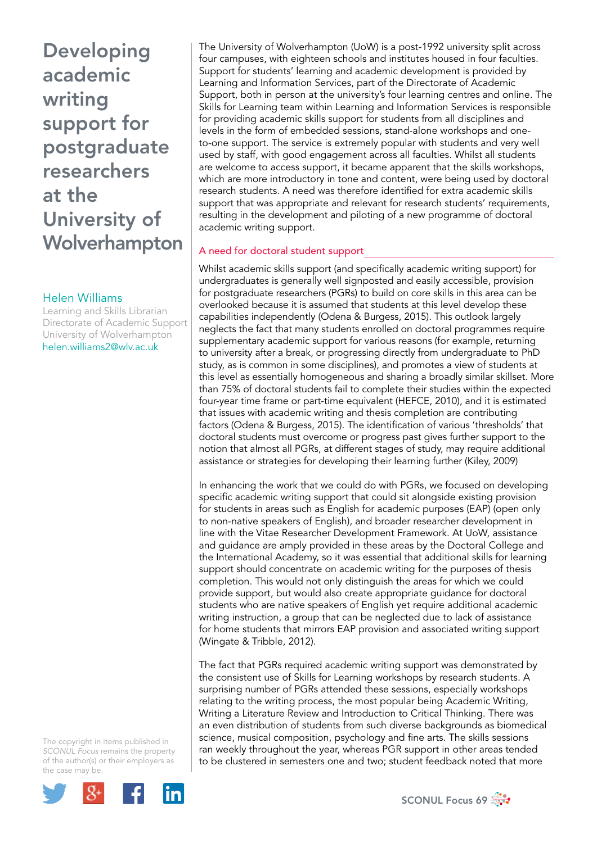# Helen Williams

Learning and Skills Librarian Directorate of Academic Support University of Wolverhampton [helen.williams2@wlv.ac.uk](mailto:helen.williams2@wlv.ac.uk)

The copyright in items published in *SCONUL Focus* remains the property of the author(s) or their employers as the case may be.



The University of Wolverhampton (UoW) is a post-1992 university split across four campuses, with eighteen schools and institutes housed in four faculties. Support for students' learning and academic development is provided by Learning and Information Services, part of the Directorate of Academic Support, both in person at the university's four learning centres and online. The Skills for Learning team within Learning and Information Services is responsible for providing academic skills support for students from all disciplines and levels in the form of embedded sessions, stand-alone workshops and oneto-one support. The service is extremely popular with students and very well used by staff, with good engagement across all faculties. Whilst all students are welcome to access support, it became apparent that the skills workshops, which are more introductory in tone and content, were being used by doctoral research students. A need was therefore identified for extra academic skills support that was appropriate and relevant for research students' requirements, resulting in the development and piloting of a new programme of doctoral academic writing support.

# A need for doctoral student support

Whilst academic skills support (and specifically academic writing support) for undergraduates is generally well signposted and easily accessible, provision for postgraduate researchers (PGRs) to build on core skills in this area can be overlooked because it is assumed that students at this level develop these capabilities independently (Odena & Burgess, 2015). This outlook largely neglects the fact that many students enrolled on doctoral programmes require supplementary academic support for various reasons (for example, returning to university after a break, or progressing directly from undergraduate to PhD study, as is common in some disciplines), and promotes a view of students at this level as essentially homogeneous and sharing a broadly similar skillset. More than 75% of doctoral students fail to complete their studies within the expected four-year time frame or part-time equivalent (HEFCE, 2010), and it is estimated that issues with academic writing and thesis completion are contributing factors (Odena & Burgess, 2015). The identification of various 'thresholds' that doctoral students must overcome or progress past gives further support to the notion that almost all PGRs, at different stages of study, may require additional assistance or strategies for developing their learning further (Kiley, 2009)

In enhancing the work that we could do with PGRs, we focused on developing specific academic writing support that could sit alongside existing provision for students in areas such as English for academic purposes (EAP) (open only to non-native speakers of English), and broader researcher development in line with the Vitae Researcher Development Framework. At UoW, assistance and guidance are amply provided in these areas by the Doctoral College and the International Academy, so it was essential that additional skills for learning support should concentrate on academic writing for the purposes of thesis completion. This would not only distinguish the areas for which we could provide support, but would also create appropriate guidance for doctoral students who are native speakers of English yet require additional academic writing instruction, a group that can be neglected due to lack of assistance for home students that mirrors EAP provision and associated writing support (Wingate & Tribble, 2012).

The fact that PGRs required academic writing support was demonstrated by the consistent use of Skills for Learning workshops by research students. A surprising number of PGRs attended these sessions, especially workshops relating to the writing process, the most popular being Academic Writing, Writing a Literature Review and Introduction to Critical Thinking. There was an even distribution of students from such diverse backgrounds as biomedical science, musical composition, psychology and fine arts. The skills sessions ran weekly throughout the year, whereas PGR support in other areas tended to be clustered in semesters one and two; student feedback noted that more

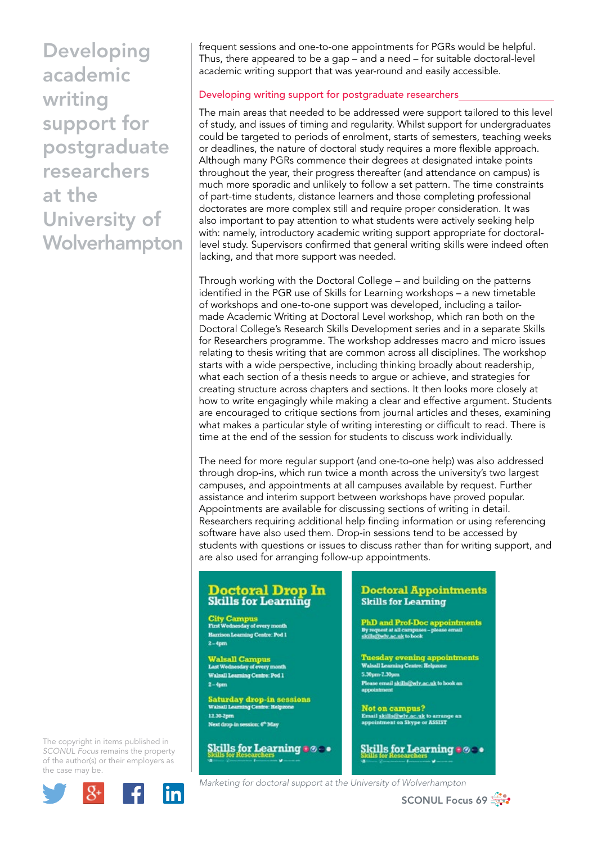frequent sessions and one-to-one appointments for PGRs would be helpful. Thus, there appeared to be a gap – and a need – for suitable doctoral-level academic writing support that was year-round and easily accessible.

# Developing writing support for postgraduate researchers

The main areas that needed to be addressed were support tailored to this level of study, and issues of timing and regularity. Whilst support for undergraduates could be targeted to periods of enrolment, starts of semesters, teaching weeks or deadlines, the nature of doctoral study requires a more flexible approach. Although many PGRs commence their degrees at designated intake points throughout the year, their progress thereafter (and attendance on campus) is much more sporadic and unlikely to follow a set pattern. The time constraints of part-time students, distance learners and those completing professional doctorates are more complex still and require proper consideration. It was also important to pay attention to what students were actively seeking help with: namely, introductory academic writing support appropriate for doctorallevel study. Supervisors confirmed that general writing skills were indeed often lacking, and that more support was needed.

Through working with the Doctoral College – and building on the patterns identified in the PGR use of Skills for Learning workshops – a new timetable of workshops and one-to-one support was developed, including a tailormade Academic Writing at Doctoral Level workshop, which ran both on the Doctoral College's Research Skills Development series and in a separate Skills for Researchers programme. The workshop addresses macro and micro issues relating to thesis writing that are common across all disciplines. The workshop starts with a wide perspective, including thinking broadly about readership, what each section of a thesis needs to argue or achieve, and strategies for creating structure across chapters and sections. It then looks more closely at how to write engagingly while making a clear and effective argument. Students are encouraged to critique sections from journal articles and theses, examining what makes a particular style of writing interesting or difficult to read. There is time at the end of the session for students to discuss work individually.

The need for more regular support (and one-to-one help) was also addressed through drop-ins, which run twice a month across the university's two largest campuses, and appointments at all campuses available by request. Further assistance and interim support between workshops have proved popular. Appointments are available for discussing sections of writing in detail. Researchers requiring additional help finding information or using referencing software have also used them. Drop-in sessions tend to be accessed by students with questions or issues to discuss rather than for writing support, and are also used for arranging follow-up appointments.

## **Doctoral Drop In Skills for Learning**

**City Campus**<br>First Wednesday of every month **Harrison Learning Centre: Pod 1**  $2 - 4pm$ 

Walsall Campus<br>Last Wednesday of every month Walsall Learning Centre: Pod 1  $2-4pm$ 

Saturday drop-in sessions<br>Walsall Learning Centre: Helpzone tre: Helpz 12.30-2pm Next drop in session: 6<sup>th</sup> May

**Skills for Learning a @ . .** 

### **Doctoral Appointments Skills for Learning**

PhD and Prof-Doc appointments<br>By request at all campuses – please email<br>skills@why.ac.uk to book

**Tuesday evening appointments**<br>Walsall Learning Centre: Relpzone 5.30pm-7.30pm ase email skills@wlv.ac.uk to book an

Not on campus?<br>Email <u>skills@wlv.ac.uk</u> to arrange an<br>appointment on Skype or ASSIST

Skills for Learning  $\bullet \circ \bullet$ 

The copyright in items published in *SCONUL Focus* remains the property of the author(s) or their employers as the case may be.



*Marketing for doctoral support at the University of Wolverhampton*

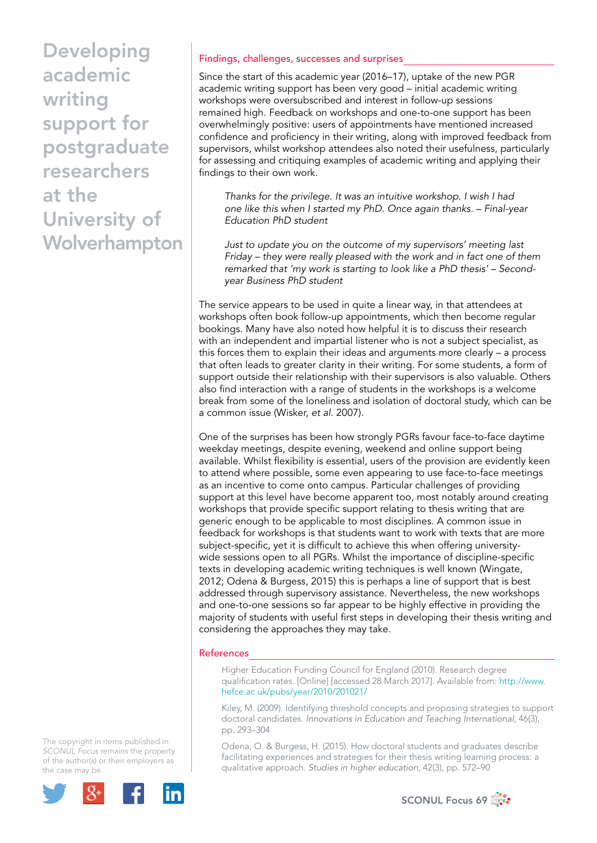# Findings, challenges, successes and surprises

Since the start of this academic year (2016–17), uptake of the new PGR academic writing support has been very good – initial academic writing workshops were oversubscribed and interest in follow-up sessions remained high. Feedback on workshops and one-to-one support has been overwhelmingly positive: users of appointments have mentioned increased confidence and proficiency in their writing, along with improved feedback from supervisors, whilst workshop attendees also noted their usefulness, particularly for assessing and critiquing examples of academic writing and applying their findings to their own work.

*Thanks for the privilege. It was an intuitive workshop. I wish I had one like this when I started my PhD. Once again thanks. – Final-year Education PhD student*

*Just to update you on the outcome of my supervisors' meeting last Friday – they were really pleased with the work and in fact one of them remarked that 'my work is starting to look like a PhD thesis' – Secondyear Business PhD student*

The service appears to be used in quite a linear way, in that attendees at workshops often book follow-up appointments, which then become regular bookings. Many have also noted how helpful it is to discuss their research with an independent and impartial listener who is not a subject specialist, as this forces them to explain their ideas and arguments more clearly – a process that often leads to greater clarity in their writing. For some students, a form of support outside their relationship with their supervisors is also valuable. Others also find interaction with a range of students in the workshops is a welcome break from some of the loneliness and isolation of doctoral study, which can be a common issue (Wisker, *et al*. 2007).

One of the surprises has been how strongly PGRs favour face-to-face daytime weekday meetings, despite evening, weekend and online support being available. Whilst flexibility is essential, users of the provision are evidently keen to attend where possible, some even appearing to use face-to-face meetings as an incentive to come onto campus. Particular challenges of providing support at this level have become apparent too, most notably around creating workshops that provide specific support relating to thesis writing that are generic enough to be applicable to most disciplines. A common issue in feedback for workshops is that students want to work with texts that are more subject-specific, yet it is difficult to achieve this when offering universitywide sessions open to all PGRs. Whilst the importance of discipline-specific texts in developing academic writing techniques is well known (Wingate, 2012; Odena & Burgess, 2015) this is perhaps a line of support that is best addressed through supervisory assistance. Nevertheless, the new workshops and one-to-one sessions so far appear to be highly effective in providing the majority of students with useful first steps in developing their thesis writing and considering the approaches they may take.

#### References

Higher Education Funding Council for England (2010). Research degree qualification rates. [Online] [accessed 28 March 2017]. Available from: [http://www.](http://www.hefce.ac.uk/pubs/year/2010/201021/) [hefce.ac.uk/pubs/year/2010/201021/](http://www.hefce.ac.uk/pubs/year/2010/201021/)

Kiley, M. (2009). Identifying threshold concepts and proposing strategies to support doctoral candidates. *Innovations in Education and Teaching International*, 46(3), pp. 293–304

Odena, O. & Burgess, H. (2015). How doctoral students and graduates describe facilitating experiences and strategies for their thesis writing learning process: a qualitative approach. *Studies in higher education*, 42(3), pp. 572–90

The copyright in items published in *SCONUL Focus* remains the property of the author(s) or their employers as the case may be.